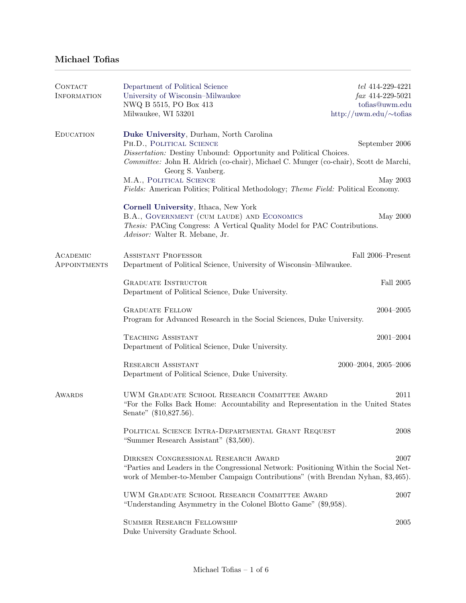## Michael Tofias

| <b>CONTACT</b>     | Department of Political Science                                                                                                                                          | tel 414-229-4221              |  |
|--------------------|--------------------------------------------------------------------------------------------------------------------------------------------------------------------------|-------------------------------|--|
| <b>INFORMATION</b> | University of Wisconsin-Milwaukee                                                                                                                                        | $\int ax \, 414-229-5021$     |  |
|                    | NWQ B 5515, PO Box 413                                                                                                                                                   | tofias@uwm.edu                |  |
|                    | Milwaukee, WI 53201                                                                                                                                                      | http://uwm.edu/ $\sim$ tofias |  |
| <b>EDUCATION</b>   | Duke University, Durham, North Carolina                                                                                                                                  |                               |  |
|                    | PH.D., POLITICAL SCIENCE                                                                                                                                                 | September 2006                |  |
|                    | Dissertation: Destiny Unbound: Opportunity and Political Choices.                                                                                                        |                               |  |
|                    | Committee: John H. Aldrich (co-chair), Michael C. Munger (co-chair), Scott de Marchi,<br>Georg S. Vanberg.                                                               |                               |  |
|                    | M.A., POLITICAL SCIENCE<br>Fields: American Politics; Political Methodology; Theme Field: Political Economy.                                                             | May 2003                      |  |
|                    |                                                                                                                                                                          |                               |  |
|                    | Cornell University, Ithaca, New York<br>B.A., GOVERNMENT (CUM LAUDE) AND ECONOMICS                                                                                       |                               |  |
|                    | Thesis: PACing Congress: A Vertical Quality Model for PAC Contributions.                                                                                                 | May 2000                      |  |
|                    | Advisor: Walter R. Mebane, Jr.                                                                                                                                           |                               |  |
| ACADEMIC           | <b>ASSISTANT PROFESSOR</b>                                                                                                                                               | Fall 2006-Present             |  |
| APPOINTMENTS       | Department of Political Science, University of Wisconsin-Milwaukee.                                                                                                      |                               |  |
|                    | <b>GRADUATE INSTRUCTOR</b>                                                                                                                                               | Fall 2005                     |  |
|                    | Department of Political Science, Duke University.                                                                                                                        |                               |  |
|                    | <b>GRADUATE FELLOW</b>                                                                                                                                                   | $2004 - 2005$                 |  |
|                    | Program for Advanced Research in the Social Sciences, Duke University.                                                                                                   |                               |  |
|                    | <b>TEACHING ASSISTANT</b>                                                                                                                                                | $2001 - 2004$                 |  |
|                    | Department of Political Science, Duke University.                                                                                                                        |                               |  |
|                    | <b>RESEARCH ASSISTANT</b><br>$2000 - 2004$ , $2005 - 2006$                                                                                                               |                               |  |
|                    | Department of Political Science, Duke University.                                                                                                                        |                               |  |
| AWARDS             | UWM GRADUATE SCHOOL RESEARCH COMMITTEE AWARD                                                                                                                             | 2011                          |  |
|                    | "For the Folks Back Home: Accountability and Representation in the United States                                                                                         |                               |  |
|                    | Senate" (\$10,827.56).                                                                                                                                                   |                               |  |
|                    | POLITICAL SCIENCE INTRA-DEPARTMENTAL GRANT REQUEST                                                                                                                       | 2008                          |  |
|                    | "Summer Research Assistant" (\$3,500).                                                                                                                                   |                               |  |
|                    | DIRKSEN CONGRESSIONAL RESEARCH AWARD                                                                                                                                     | 2007                          |  |
|                    | "Parties and Leaders in the Congressional Network: Positioning Within the Social Net-<br>work of Member-to-Member Campaign Contributions" (with Brendan Nyhan, \$3,465). |                               |  |
|                    |                                                                                                                                                                          |                               |  |
|                    | UWM GRADUATE SCHOOL RESEARCH COMMITTEE AWARD                                                                                                                             | 2007                          |  |
|                    | "Understanding Asymmetry in the Colonel Blotto Game" (\$9,958).                                                                                                          |                               |  |
|                    | <b>SUMMER RESEARCH FELLOWSHIP</b>                                                                                                                                        | 2005                          |  |
|                    | Duke University Graduate School.                                                                                                                                         |                               |  |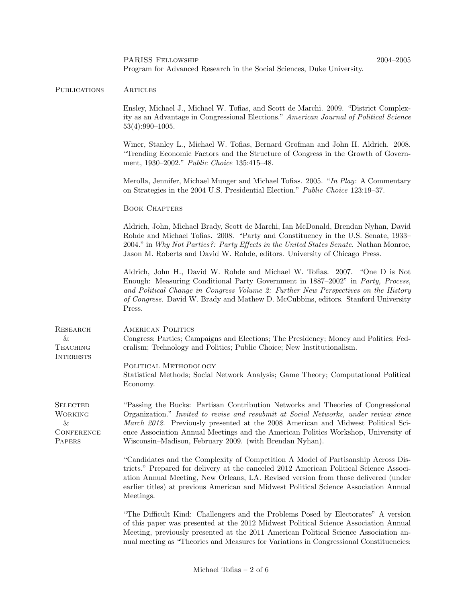|                                                                       | Program for Advanced Research in the Social Sciences, Duke University.                                                                                                                                                                                                                                                                                                                                        |  |
|-----------------------------------------------------------------------|---------------------------------------------------------------------------------------------------------------------------------------------------------------------------------------------------------------------------------------------------------------------------------------------------------------------------------------------------------------------------------------------------------------|--|
| <b>PUBLICATIONS</b>                                                   | <b>ARTICLES</b>                                                                                                                                                                                                                                                                                                                                                                                               |  |
|                                                                       | Ensley, Michael J., Michael W. Tofias, and Scott de Marchi. 2009. "District Complex-<br>ity as an Advantage in Congressional Elections." American Journal of Political Science<br>$53(4):990-1005.$                                                                                                                                                                                                           |  |
|                                                                       | Winer, Stanley L., Michael W. Tofias, Bernard Grofman and John H. Aldrich. 2008.<br>"Trending Economic Factors and the Structure of Congress in the Growth of Govern-<br>ment, 1930–2002." Public Choice 135:415–48.                                                                                                                                                                                          |  |
|                                                                       | Merolla, Jennifer, Michael Munger and Michael Tofias. 2005. "In Play: A Commentary<br>on Strategies in the 2004 U.S. Presidential Election." Public Choice 123:19-37.                                                                                                                                                                                                                                         |  |
|                                                                       | <b>BOOK CHAPTERS</b>                                                                                                                                                                                                                                                                                                                                                                                          |  |
|                                                                       | Aldrich, John, Michael Brady, Scott de Marchi, Ian McDonald, Brendan Nyhan, David<br>Rohde and Michael Tofias. 2008. "Party and Constituency in the U.S. Senate, 1933-<br>2004." in Why Not Parties?: Party Effects in the United States Senate. Nathan Monroe,<br>Jason M. Roberts and David W. Rohde, editors. University of Chicago Press.                                                                 |  |
|                                                                       | Aldrich, John H., David W. Rohde and Michael W. Tofias. 2007. "One D is Not<br>Enough: Measuring Conditional Party Government in 1887–2002" in Party, Process,<br>and Political Change in Congress Volume 2: Further New Perspectives on the History<br>of Congress. David W. Brady and Mathew D. McCubbins, editors. Stanford University<br>Press.                                                           |  |
| RESEARCH<br>$\&$<br><b>TEACHING</b><br><b>INTERESTS</b>               | <b>AMERICAN POLITICS</b><br>Congress; Parties; Campaigns and Elections; The Presidency; Money and Politics; Fed-<br>eralism; Technology and Politics; Public Choice; New Institutionalism.                                                                                                                                                                                                                    |  |
|                                                                       | POLITICAL METHODOLOGY<br>Statistical Methods; Social Network Analysis; Game Theory; Computational Political<br>Economy.                                                                                                                                                                                                                                                                                       |  |
| <b>SELECTED</b><br><b>WORKING</b><br>&<br><b>CONFERENCE</b><br>PAPERS | "Passing the Bucks: Partisan Contribution Networks and Theories of Congressional<br>Organization." Invited to revise and resubmit at Social Networks, under review since<br>March 2012. Previously presented at the 2008 American and Midwest Political Sci-<br>ence Association Annual Meetings and the American Politics Workshop, University of<br>Wisconsin-Madison, February 2009. (with Brendan Nyhan). |  |
|                                                                       | "Candidates and the Complexity of Competition A Model of Partisanship Across Dis-<br>tricts." Prepared for delivery at the canceled 2012 American Political Science Associ-<br>ation Annual Meeting, New Orleans, LA. Revised version from those delivered (under<br>earlier titles) at previous American and Midwest Political Science Association Annual<br>Meetings.                                       |  |
|                                                                       | "The Difficult Kind: Challengers and the Problems Posed by Electorates" A version<br>of this paper was presented at the 2012 Midwest Political Science Association Annual<br>Meeting, previously presented at the 2011 American Political Science Association an-                                                                                                                                             |  |

PARISS Fellowship 2004–2005

nual meeting as "Theories and Measures for Variations in Congressional Constituencies: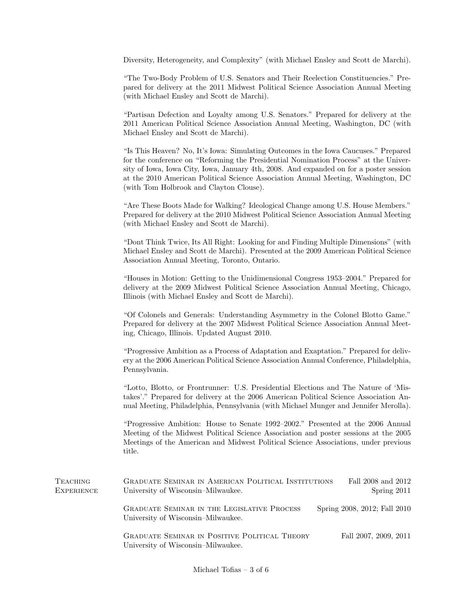Diversity, Heterogeneity, and Complexity" (with Michael Ensley and Scott de Marchi).

"The Two-Body Problem of U.S. Senators and Their Reelection Constituencies." Prepared for delivery at the 2011 Midwest Political Science Association Annual Meeting (with Michael Ensley and Scott de Marchi).

"Partisan Defection and Loyalty among U.S. Senators." Prepared for delivery at the 2011 American Political Science Association Annual Meeting, Washington, DC (with Michael Ensley and Scott de Marchi).

"Is This Heaven? No, It's Iowa: Simulating Outcomes in the Iowa Caucuses." Prepared for the conference on "Reforming the Presidential Nomination Process" at the University of Iowa, Iowa City, Iowa, January 4th, 2008. And expanded on for a poster session at the 2010 American Political Science Association Annual Meeting, Washington, DC (with Tom Holbrook and Clayton Clouse).

"Are These Boots Made for Walking? Ideological Change among U.S. House Members." Prepared for delivery at the 2010 Midwest Political Science Association Annual Meeting (with Michael Ensley and Scott de Marchi).

"Dont Think Twice, Its All Right: Looking for and Finding Multiple Dimensions" (with Michael Ensley and Scott de Marchi). Presented at the 2009 American Political Science Association Annual Meeting, Toronto, Ontario.

"Houses in Motion: Getting to the Unidimensional Congress 1953–2004." Prepared for delivery at the 2009 Midwest Political Science Association Annual Meeting, Chicago, Illinois (with Michael Ensley and Scott de Marchi).

"Of Colonels and Generals: Understanding Asymmetry in the Colonel Blotto Game." Prepared for delivery at the 2007 Midwest Political Science Association Annual Meeting, Chicago, Illinois. Updated August 2010.

"Progressive Ambition as a Process of Adaptation and Exaptation." Prepared for delivery at the 2006 American Political Science Association Annual Conference, Philadelphia, Pennsylvania.

"Lotto, Blotto, or Frontrunner: U.S. Presidential Elections and The Nature of 'Mistakes'." Prepared for delivery at the 2006 American Political Science Association Annual Meeting, Philadelphia, Pennsylvania (with Michael Munger and Jennifer Merolla).

"Progressive Ambition: House to Senate 1992–2002." Presented at the 2006 Annual Meeting of the Midwest Political Science Association and poster sessions at the 2005 Meetings of the American and Midwest Political Science Associations, under previous title.

| <b>TEACHING</b><br><b>EXPERIENCE</b> | <b>GRADUATE SEMINAR IN AMERICAN POLITICAL INSTITUTIONS</b><br>University of Wisconsin–Milwaukee. |  | Fall 2008 and 2012<br>Spring $2011$ |  |
|--------------------------------------|--------------------------------------------------------------------------------------------------|--|-------------------------------------|--|
|                                      | <b>GRADUATE SEMINAR IN THE LEGISLATIVE PROCESS</b><br>University of Wisconsin–Milwaukee.         |  | Spring 2008, 2012; Fall 2010        |  |
|                                      | <b>GRADUATE SEMINAR IN POSITIVE POLITICAL THEORY</b><br>University of Wisconsin–Milwaukee.       |  | Fall 2007, 2009, 2011               |  |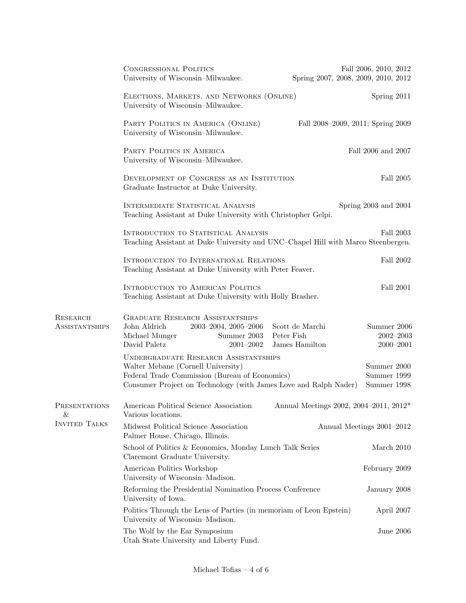|                                          | <b>CONGRESSIONAL POLITICS</b><br>University of Wisconsin-Milwaukee.                                                                                                                                      | Fall 2006, 2010, 2012<br>Spring 2007, 2008, 2009, 2010, 2012                       |
|------------------------------------------|----------------------------------------------------------------------------------------------------------------------------------------------------------------------------------------------------------|------------------------------------------------------------------------------------|
|                                          | ELECTIONS, MARKETS, AND NETWORKS (ONLINE)<br>University of Wisconsin-Milwaukee.                                                                                                                          | Spring 2011                                                                        |
|                                          | PARTY POLITICS IN AMERICA (ONLINE)<br>University of Wisconsin-Milwaukee.                                                                                                                                 | Fall 2008-2009, 2011; Spring 2009                                                  |
|                                          | PARTY POLITICS IN AMERICA<br>University of Wisconsin–Milwaukee.                                                                                                                                          | Fall 2006 and 2007                                                                 |
|                                          | DEVELOPMENT OF CONGRESS AS AN INSTITUTION<br>Graduate Instructor at Duke University.                                                                                                                     | Fall 2005                                                                          |
|                                          | INTERMEDIATE STATISTICAL ANALYSIS<br>Teaching Assistant at Duke University with Christopher Gelpi.                                                                                                       | Spring $2003$ and $2004$                                                           |
|                                          | INTRODUCTION TO STATISTICAL ANALYSIS<br>Teaching Assistant at Duke University and UNC-Chapel Hill with Marco Steenbergen.                                                                                | Fall 2003                                                                          |
|                                          | INTRODUCTION TO INTERNATIONAL RELATIONS<br>Teaching Assistant at Duke University with Peter Feaver.                                                                                                      |                                                                                    |
|                                          | <b>INTRODUCTION TO AMERICAN POLITICS</b><br>Teaching Assistant at Duke University with Holly Brasher.                                                                                                    | Fall 2001                                                                          |
| <b>RESEARCH</b><br><b>ASSISTANTSHIPS</b> | <b>GRADUATE RESEARCH ASSISTANTSHIPS</b><br>John Aldrich<br>2003-2004, 2005-2006<br>Michael Munger<br>Peter Fish<br>Summer 2003<br>David Paletz<br>$2001 - 2002$                                          | Scott de Marchi<br>Summer 2006<br>$2002 - 2003$<br>James Hamilton<br>$2000 - 2001$ |
|                                          | <b>UNDERGRADUATE RESEARCH ASSISTANTSHIPS</b><br>Walter Mebane (Cornell University)<br>Federal Trade Commission (Bureau of Economics)<br>Consumer Project on Technology (with James Love and Ralph Nader) | Summer 2000<br>Summer 1999<br>Summer 1998                                          |
| PRESENTATIONS<br>&                       | American Political Science Association<br>Various locations.                                                                                                                                             | Annual Meetings 2002, 2004–2011, 2012*                                             |
| <b>INVITED TALKS</b>                     | Midwest Political Science Association<br>Palmer House, Chicago, Illinois.                                                                                                                                | Annual Meetings 2001-2012                                                          |
|                                          | School of Politics & Economics, Monday Lunch Talk Series<br>Claremont Graduate University.                                                                                                               | March 2010                                                                         |
|                                          | American Politics Workshop<br>University of Wisconsin-Madison.                                                                                                                                           | February 2009                                                                      |
|                                          | Reforming the Presidential Nomination Process Conference<br>University of Iowa.                                                                                                                          | January 2008                                                                       |
|                                          | Politics Through the Lens of Parties (in memoriam of Leon Epstein)<br>University of Wisconsin-Madison.                                                                                                   | April 2007                                                                         |
|                                          | The Wolf by the Ear Symposium<br>Utah State University and Liberty Fund.                                                                                                                                 | June 2006                                                                          |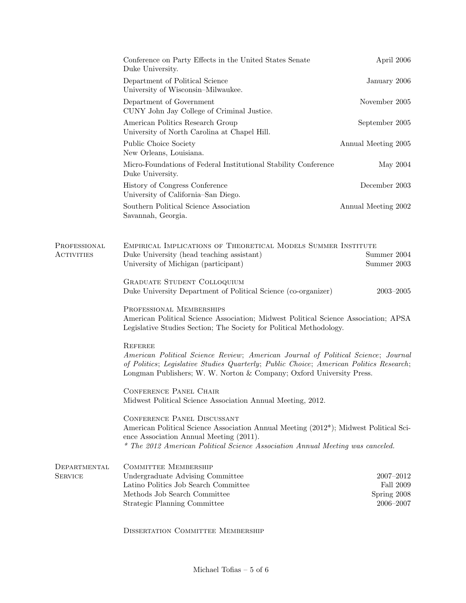|                                   | Conference on Party Effects in the United States Senate<br>Duke University.                                                                                                                                                                                           | April 2006                                         |  |
|-----------------------------------|-----------------------------------------------------------------------------------------------------------------------------------------------------------------------------------------------------------------------------------------------------------------------|----------------------------------------------------|--|
|                                   | Department of Political Science<br>University of Wisconsin-Milwaukee.                                                                                                                                                                                                 | January 2006                                       |  |
|                                   | Department of Government<br>CUNY John Jay College of Criminal Justice.                                                                                                                                                                                                | November $2005\,$                                  |  |
|                                   | American Politics Research Group<br>University of North Carolina at Chapel Hill.                                                                                                                                                                                      | September 2005                                     |  |
|                                   | Public Choice Society<br>New Orleans, Louisiana.                                                                                                                                                                                                                      | Annual Meeting 2005                                |  |
|                                   | Micro-Foundations of Federal Institutional Stability Conference<br>Duke University.                                                                                                                                                                                   | May 2004                                           |  |
|                                   | History of Congress Conference<br>University of California-San Diego.                                                                                                                                                                                                 | December 2003                                      |  |
|                                   | Southern Political Science Association<br>Savannah, Georgia.                                                                                                                                                                                                          | Annual Meeting 2002                                |  |
| PROFESSIONAL<br><b>ACTIVITIES</b> | EMPIRICAL IMPLICATIONS OF THEORETICAL MODELS SUMMER INSTITUTE<br>Duke University (head teaching assistant)<br>University of Michigan (participant)                                                                                                                    | Summer 2004<br>Summer 2003                         |  |
|                                   | <b>GRADUATE STUDENT COLLOQUIUM</b><br>Duke University Department of Political Science (co-organizer)                                                                                                                                                                  | $2003 - 2005$                                      |  |
|                                   | PROFESSIONAL MEMBERSHIPS<br>American Political Science Association; Midwest Political Science Association; APSA<br>Legislative Studies Section; The Society for Political Methodology.                                                                                |                                                    |  |
|                                   | <b>REFEREE</b><br>American Political Science Review; American Journal of Political Science; Journal<br>of Politics; Legislative Studies Quarterly; Public Choice; American Politics Research;<br>Longman Publishers; W. W. Norton & Company; Oxford University Press. |                                                    |  |
|                                   | <b>CONFERENCE PANEL CHAIR</b><br>Midwest Political Science Association Annual Meeting, 2012.                                                                                                                                                                          |                                                    |  |
|                                   | <b>CONFERENCE PANEL DISCUSSANT</b><br>American Political Science Association Annual Meeting (2012 <sup>*</sup> ); Midwest Political Sci-<br>ence Association Annual Meeting (2011).<br>* The 2012 American Political Science Association Annual Meeting was canceled. |                                                    |  |
| DEPARTMENTAL<br><b>SERVICE</b>    | <b>COMMITTEE MEMBERSHIP</b><br>Undergraduate Advising Committee<br>Latino Politics Job Search Committee<br>Methods Job Search Committee<br>Strategic Planning Committee                                                                                               | 2007-2012<br>Fall 2009<br>Spring 2008<br>2006-2007 |  |

Dissertation Committee Membership